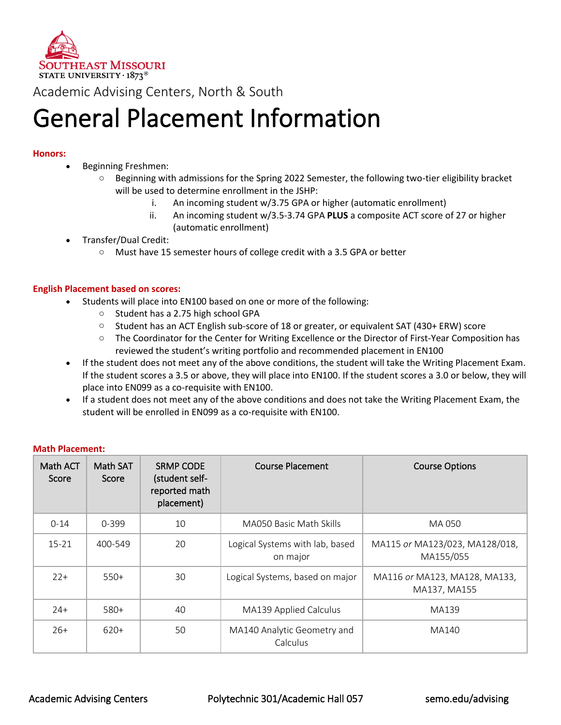

Academic Advising Centers, North & South

## General Placement Information

### **Honors:**

- Beginning Freshmen:
	- $\circ$  Beginning with admissions for the Spring 2022 Semester, the following two-tier eligibility bracket will be used to determine enrollment in the JSHP:
		- i. An incoming student w/3.75 GPA or higher (automatic enrollment)
		- ii. An incoming student w/3.5-3.74 GPA **PLUS** a composite ACT score of 27 or higher (automatic enrollment)
- Transfer/Dual Credit:
	- o Must have 15 semester hours of college credit with a 3.5 GPA or better

#### **English Placement based on scores:**

- Students will place into EN100 based on one or more of the following:
	- o Student has a 2.75 high school GPA
	- o Student has an ACT English sub-score of 18 or greater, or equivalent SAT (430+ ERW) score
	- $\circ$  The Coordinator for the Center for Writing Excellence or the Director of First-Year Composition has reviewed the student's writing portfolio and recommended placement in EN100
- If the student does not meet any of the above conditions, the student will take the Writing Placement Exam. If the student scores a 3.5 or above, they will place into EN100. If the student scores a 3.0 or below, they will place into EN099 as a co-requisite with EN100.
- If a student does not meet any of the above conditions and does not take the Writing Placement Exam, the student will be enrolled in EN099 as a co-requisite with EN100.

#### **Math Placement:**

| Math ACT<br>Score | Math SAT<br>Score | <b>SRMP CODE</b><br>(student self-<br>reported math<br>placement) | <b>Course Placement</b>                     | <b>Course Options</b>                         |
|-------------------|-------------------|-------------------------------------------------------------------|---------------------------------------------|-----------------------------------------------|
| $0 - 14$          | $0 - 399$         | 10                                                                | MA050 Basic Math Skills                     | MA 050                                        |
| $15 - 21$         | 400-549           | 20                                                                | Logical Systems with lab, based<br>on major | MA115 or MA123/023, MA128/018,<br>MA155/055   |
| $22+$             | $550+$            | 30                                                                | Logical Systems, based on major             | MA116 or MA123, MA128, MA133,<br>MA137, MA155 |
| $24+$             | 580+              | 40                                                                | MA139 Applied Calculus                      | MA139                                         |
| $26+$             | $620+$            | 50                                                                | MA140 Analytic Geometry and<br>Calculus     | MA140                                         |